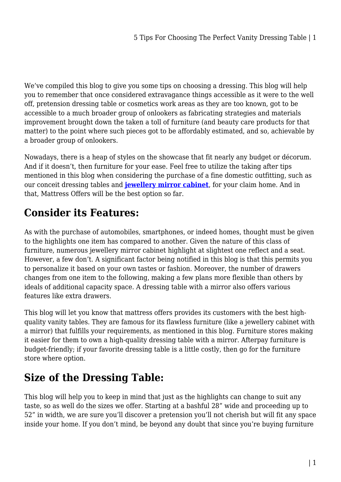We've compiled this blog to give you some tips on choosing a dressing. This blog will help you to remember that once considered extravagance things accessible as it were to the well off, pretension dressing table or cosmetics work areas as they are too known, got to be accessible to a much broader group of onlookers as fabricating strategies and materials improvement brought down the taken a toll of furniture (and beauty care products for that matter) to the point where such pieces got to be affordably estimated, and so, achievable by a broader group of onlookers.

Nowadays, there is a heap of styles on the showcase that fit nearly any budget or décorum. And if it doesn't, then furniture for your ease. Feel free to utilize the taking after tips mentioned in this blog when considering the purchase of a fine domestic outfitting, such as our conceit dressing tables and **[jewellery mirror cabinet](https://mattressoffers.com.au/jewellery-cabinets/)**, for your claim home. And in that, Mattress Offers will be the best option so far.

## **Consider its Features:**

As with the purchase of automobiles, smartphones, or indeed homes, thought must be given to the highlights one item has compared to another. Given the nature of this class of furniture, numerous jewellery mirror cabinet highlight at slightest one reflect and a seat. However, a few don't. A significant factor being notified in this blog is that this permits you to personalize it based on your own tastes or fashion. Moreover, the number of drawers changes from one item to the following, making a few plans more flexible than others by ideals of additional capacity space. A dressing table with a mirror also offers various features like extra drawers.

This blog will let you know that mattress offers provides its customers with the best highquality vanity tables. They are famous for its flawless furniture (like a jewellery cabinet with a mirror) that fulfills your requirements, as mentioned in this blog. Furniture stores making it easier for them to own a high-quality dressing table with a mirror. Afterpay furniture is budget-friendly; if your favorite dressing table is a little costly, then go for the furniture store where option.

#### **Size of the Dressing Table:**

This blog will help you to keep in mind that just as the highlights can change to suit any taste, so as well do the sizes we offer. Starting at a bashful 28" wide and proceeding up to 52" in width, we are sure you'll discover a pretension you'll not cherish but will fit any space inside your home. If you don't mind, be beyond any doubt that since you're buying furniture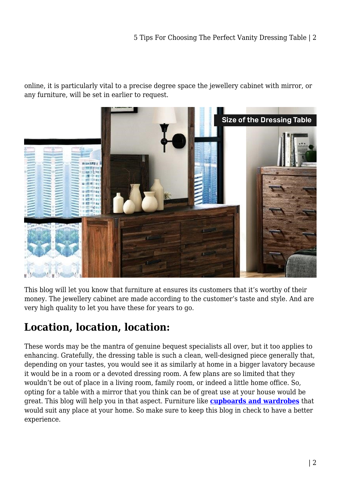online, it is particularly vital to a precise degree space the jewellery cabinet with mirror, or any furniture, will be set in earlier to request.



This blog will let you know that furniture at ensures its customers that it's worthy of their money. The jewellery cabinet are made according to the customer's taste and style. And are very high quality to let you have these for years to go.

#### **Location, location, location:**

These words may be the mantra of genuine bequest specialists all over, but it too applies to enhancing. Gratefully, the dressing table is such a clean, well-designed piece generally that, depending on your tastes, you would see it as similarly at home in a bigger lavatory because it would be in a room or a devoted dressing room. A few plans are so limited that they wouldn't be out of place in a living room, family room, or indeed a little home office. So, opting for a table with a mirror that you think can be of great use at your house would be great. This blog will help you in that aspect. Furniture like **[cupboards and wardrobes](https://mattressoffers.com.au/cabinets-storage/cupboards-wardrobes/)** that would suit any place at your home. So make sure to keep this blog in check to have a better experience.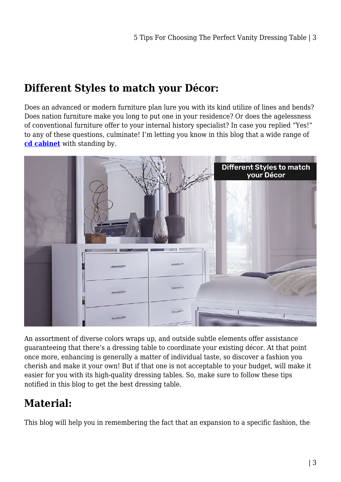# **Different Styles to match your Décor:**

Does an advanced or modern furniture plan lure you with its kind utilize of lines and bends? Does nation furniture make you long to put one in your residence? Or does the agelessness of conventional furniture offer to your internal history specialist? In case you replied "Yes!" to any of these questions, culminate! I'm letting you know in this blog that a wide range of **[cd cabinet](https://mattressoffers.com.au/cabinets-storage/cd-cabinet-storage/)** with standing by.



An assortment of diverse colors wraps up, and outside subtle elements offer assistance guaranteeing that there's a dressing table to coordinate your existing décor. At that point once more, enhancing is generally a matter of individual taste, so discover a fashion you cherish and make it your own! But if that one is not acceptable to your budget, will make it easier for you with its high-quality dressing tables. So, make sure to follow these tips notified in this blog to get the best dressing table.

# **Material:**

This blog will help you in remembering the fact that an expansion to a specific fashion, the